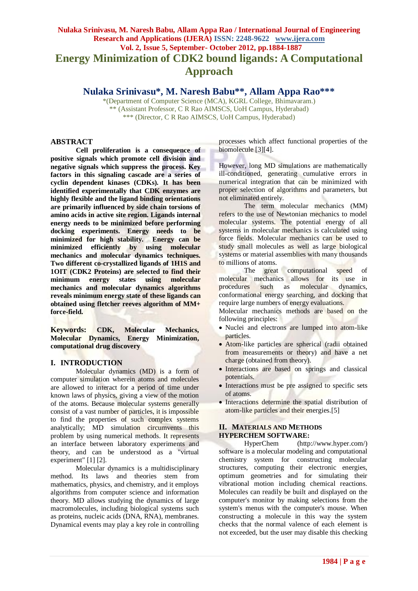# **Nulaka Srinivasu, M. Naresh Babu, Allam Appa Rao / International Journal of Engineering Research and Applications (IJERA) ISSN: 2248-9622 www.ijera.com Vol. 2, Issue 5, September- October 2012, pp.1884-1887 Energy Minimization of CDK2 bound ligands: A Computational Approach**

**Nulaka Srinivasu\*, M. Naresh Babu\*\*, Allam Appa Rao\*\*\***

\*(Department of Computer Science (MCA), KGRL College, Bhimavaram.) \*\* (Assistant Professor, C R Rao AIMSCS, UoH Campus, Hyderabad) \*\*\* (Director, C R Rao AIMSCS, UoH Campus, Hyderabad)

## **ABSTRACT**

**Cell proliferation is a consequence of positive signals which promote cell division and negative signals which suppress the process. Key factors in this signaling cascade are a series of cyclin dependent kinases (CDKs). It has been identified experimentally that CDK enzymes are highly flexible and the ligand binding orientations are primarily influenced by side chain torsions of amino acids in active site region. Ligands internal energy needs to be minimized before performing docking experiments. Energy needs to be minimized for high stability. Energy can be minimized efficiently by using molecular mechanics and molecular dynamics techniques. Two different co-crystallized ligands of 1H1S and 1OIT (CDK2 Proteins) are selected to find their minimum energy states using molecular mechanics and molecular dynamics algorithms reveals minimum energy state of these ligands can obtained using fletcher reeves algorithm of MM+ force-field.**

**Keywords: CDK, Molecular Mechanics, Molecular Dynamics, Energy Minimization, computational drug discovery**

#### **I. INTRODUCTION**

Molecular dynamics (MD) is a form of computer simulation wherein atoms and molecules are allowed to interact for a period of time under known laws of physics, giving a view of the motion of the atoms. Because molecular systems generally consist of a vast number of particles, it is impossible to find the properties of such complex systems analytically; MD simulation circumvents this problem by using numerical methods. It represents an interface between laboratory experiments and theory, and can be understood as a "virtual experiment" [1] [2].

Molecular dynamics is a multidisciplinary method. Its laws and theories stem from mathematics, physics, and chemistry, and it employs algorithms from computer science and information theory. MD allows studying the dynamics of large macromolecules, including biological systems such as proteins, nucleic acids (DNA, RNA), membranes. Dynamical events may play a key role in controlling processes which affect functional properties of the biomolecule [3][4].

However, long MD simulations are mathematically ill-conditioned, generating cumulative errors in numerical integration that can be minimized with proper selection of algorithms and parameters, but not eliminated entirely.

The term molecular mechanics (MM) refers to the use of Newtonian mechanics to model molecular systems. The potential energy of all systems in molecular mechanics is calculated using force fields. Molecular mechanics can be used to study small molecules as well as large biological systems or material assemblies with many thousands to millions of atoms.

The great computational speed of molecular mechanics allows for its use in procedures such as molecular dynamics, conformational energy searching, and docking that require large numbers of energy evaluations.

Molecular mechanics methods are based on the following principles:

- Nuclei and electrons are lumped into atom-like particles.
- Atom-like particles are spherical (radii obtained from measurements or theory) and have a net charge (obtained from theory).
- Interactions are based on springs and classical potentials.
- Interactions must be pre assigned to specific sets of atoms.
- Interactions determine the spatial distribution of atom-like particles and their energies.[5]

#### **II. MATERIALS AND METHODS HYPERCHEM SOFTWARE:**

HyperChem [\(http://www.hyper.com/\)](http://www.hyper.com/) software is a molecular modeling and computational chemistry system for constructing molecular structures, computing their electronic energies, optimum geometries and for simulating their vibrational motion including chemical reactions. Molecules can readily be built and displayed on the computer's monitor by making selections from the system's menus with the computer's mouse. When constructing a molecule in this way the system checks that the normal valence of each element is not exceeded, but the user may disable this checking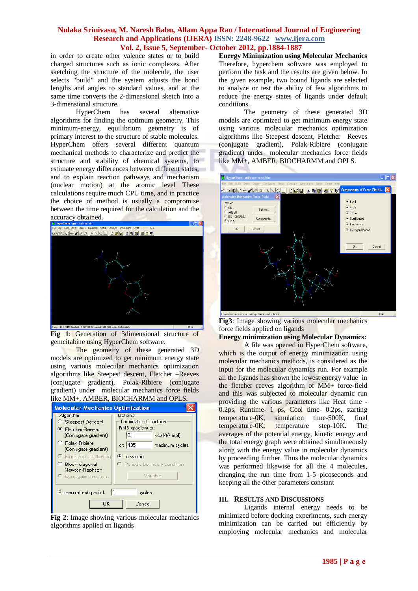#### **Nulaka Srinivasu, M. Naresh Babu, Allam Appa Rao / International Journal of Engineering Research and Applications (IJERA) ISSN: 2248-9622 www.ijera.com Vol. 2, Issue 5, September- October 2012, pp.1884-1887**

in order to create other valence states or to build charged structures such as ionic complexes. After sketching the structure of the molecule, the user selects "build" and the system adjusts the bond lengths and angles to standard values, and at the same time converts the 2-dimensional sketch into a 3-dimensional structure.

HyperChem has several alternative algorithms for finding the optimum geometry. This minimum-energy, equilibrium geometry is of primary interest to the structure of stable molecules. HyperChem offers several different quantum mechanical methods to characterize and predict the structure and stability of chemical systems, to estimate energy differences between different states, and to explain reaction pathways and mechanism (nuclear motion) at the atomic level These calculations require much CPU time, and in practice the choice of method is usually a compromise between the time required for the calculation and the accuracy obtained.



**Fig 1**: Generation of 3dimensional structure of gemcitabine using HyperChem software.

The geometry of these generated 3D models are optimized to get minimum energy state using various molecular mechanics optimization algorithms like Steepest descent, Fletcher –Reeves (conjugate gradient), Polak-Ribiere (conjugate gradient) under molecular mechanics force fields like MM+, AMBER, BIOCHARMM and OPLS.



**Fig 2**: Image showing various molecular mechanics algorithms applied on ligands

**Energy Minimization using Molecular Mechanics** Therefore, hyperchem software was employed to perform the task and the results are given below. In the given example, two bound ligands are selected to analyze or test the ability of few algorithms to reduce the energy states of ligands under default conditions.

The geometry of these generated 3D models are optimized to get minimum energy state using various molecular mechanics optimization algorithms like Steepest descent, Fletcher –Reeves (conjugate gradient), Polak-Ribiere (conjugate gradient) under molecular mechanics force fields like MM+, AMBER, BIOCHARMM and OPLS.



**Fig3**: Image showing various molecular mechanics force fields applied on ligands

**Energy minimization using Molecular Dynamics:**

A file was opened in HyperChem software, which is the output of energy minimization using molecular mechanics methods, is considered as the input for the molecular dynamics run. For example all the ligands has shown the lowest energy value in the fletcher reeves algorithm of MM+ force-field and this was subjected to molecular dynamic run providing the various parameters like Heat time - 0.2ps, Runtime- 1 ps, Cool time- 0.2ps, starting temperature-0K, simulation time-500K, final temperature-0K, temperature step-10K. The averages of the potential energy, kinetic energy and the total energy graph were obtained simultaneously along with the energy value in molecular dynamics by proceeding further. Thus the molecular dynamics was performed likewise for all the 4 molecules, changing the run time from 1-5 picoseconds and keeping all the other parameters constant

#### **III. RESULTS AND DISCUSSIONS**

Ligands internal energy needs to be minimized before docking experiments, such energy minimization can be carried out efficiently by employing molecular mechanics and molecular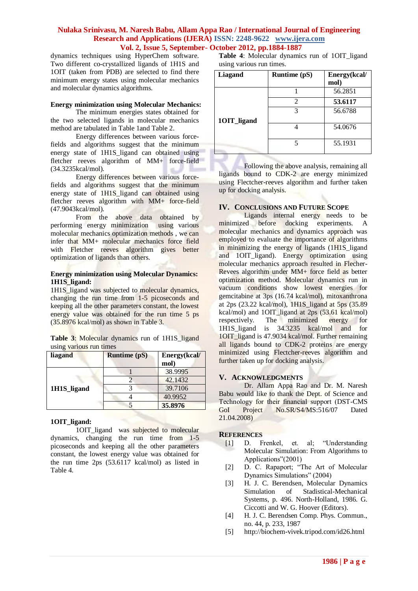#### **Nulaka Srinivasu, M. Naresh Babu, Allam Appa Rao / International Journal of Engineering Research and Applications (IJERA) ISSN: 2248-9622 www.ijera.com Vol. 2, Issue 5, September- October 2012, pp.1884-1887**

dynamics techniques using HyperChem software. Two different co-crystallized ligands of 1H1S and 1OIT (taken from PDB) are selected to find there minimum energy states using molecular mechanics and molecular dynamics algorithms.

#### **Energy minimization using Molecular Mechanics:**

The minimum energies states obtained for the two selected ligands in molecular mechanics method are tabulated in Table 1and Table 2.

Energy differences between various forcefields and algorithms suggest that the minimum energy state of 1H1S\_ligand can obtained using fletcher reeves algorithm of MM+ force-field (34.3235kcal/mol).

Energy differences between various forcefields and algorithms suggest that the minimum energy state of 1H1S\_ligand can obtained using fletcher reeves algorithm with MM+ force-field (47.9043kcal/mol).

From the above data obtained by performing energy minimization using various molecular mechanics optimization methods , we can infer that MM+ molecular mechanics force field with Fletcher reeves algorithm gives better optimization of ligands than others.

#### **Energy minimization using Molecular Dynamics: 1H1S\_ligand:**

1H1S\_ligand was subjected to molecular dynamics, changing the run time from 1-5 picoseconds and keeping all the other parameters constant, the lowest energy value was obtained for the run time 5 ps (35.8976 kcal/mol) as shown in Table 3.

**Table 3**: Molecular dynamics run of 1H1S\_ligand using various run times

| liagand     | <b>Runtime (pS)</b> | Energy(kcal/<br>mol) |
|-------------|---------------------|----------------------|
|             | 38.9995             |                      |
|             |                     | 42.1432              |
| 1H1S_ligand |                     | 39.7106              |
|             |                     | 40.9952              |
|             |                     | 35,8976              |

## **1OIT\_ligand:**

1OIT\_ligand was subjected to molecular dynamics, changing the run time from 1-5 picoseconds and keeping all the other parameters constant, the lowest energy value was obtained for the run time 2ps (53.6117 kcal/mol) as listed in Table 4.

**Table 4**: Molecular dynamics run of 1OIT\_ligand using various run times.

| Liagand     | Runtime (pS)   | Energy(kcal/<br>mol) |
|-------------|----------------|----------------------|
|             |                | 56.2851              |
|             | $\mathfrak{D}$ | 53.6117              |
|             | 3              | 56.6788              |
| 10IT_ligand |                |                      |
|             |                | 54.0676              |
|             | 5              | 55.1931              |
|             |                |                      |

Following the above analysis, remaining all ligands bound to CDK-2 are energy minimized using Flectcher-reeves algorithm and further taken up for docking analysis.

## **IV. CONCLUSIONS AND FUTURE SCOPE**

Ligands internal energy needs to be minimized before docking experiments. A molecular mechanics and dynamics approach was employed to evaluate the importance of algorithms in minimizing the energy of ligands (1H1S\_ligand and 1OIT\_ligand). Energy optimization using molecular mechanics approach resulted in Flecher-Revees algorithm under MM+ force field as better optimization method. Molecular dynamics run in vacuum conditions show lowest energies for gemcitabine at 3ps (16.74 kcal/mol), mitoxanthrona at  $2ps$  (23.22 kcal/mol), 1H1S ligand at 5ps (35.89) kcal/mol) and 1OIT\_ligand at 2ps (53.61 kcal/mol) respectively. The minimized energy for 1H1S\_ligand is 34.3235 kcal/mol and for 1OIT\_ligand is 47.9034 kcal/mol. Further remaining all ligands bound to CDK-2 proteins are energy minimized using Flectcher-reeves algorithm and further taken up for docking analysis.

## **V. ACKNOWLEDGMENTS**

Dr. Allam Appa Rao and Dr. M. Naresh Babu would like to thank the Dept. of Science and Technology for their financial support (DST-CMS GoI Project No.SR/S4/MS:516/07 Dated 21.04.2008)

#### **REFERENCES**

- [1] D. Frenkel, et. al; "Understanding Molecular Simulation: From Algorithms to Applications"(2001)
- [2] D. C. Rapaport; "The Art of Molecular Dynamics Simulations" (2004)
- [3] H. J. C. Berendsen, Molecular Dynamics Simulation of Stadistical-Mechanical Systems, p. 496. North-Holland, 1986. G. Ciccotti and W. G. Hoover (Editors).
- [4] H. J. C. Berendsen Comp. Phys. Commun., no. 44, p. 233, 1987
- [5] <http://biochem-vivek.tripod.com/id26.html>